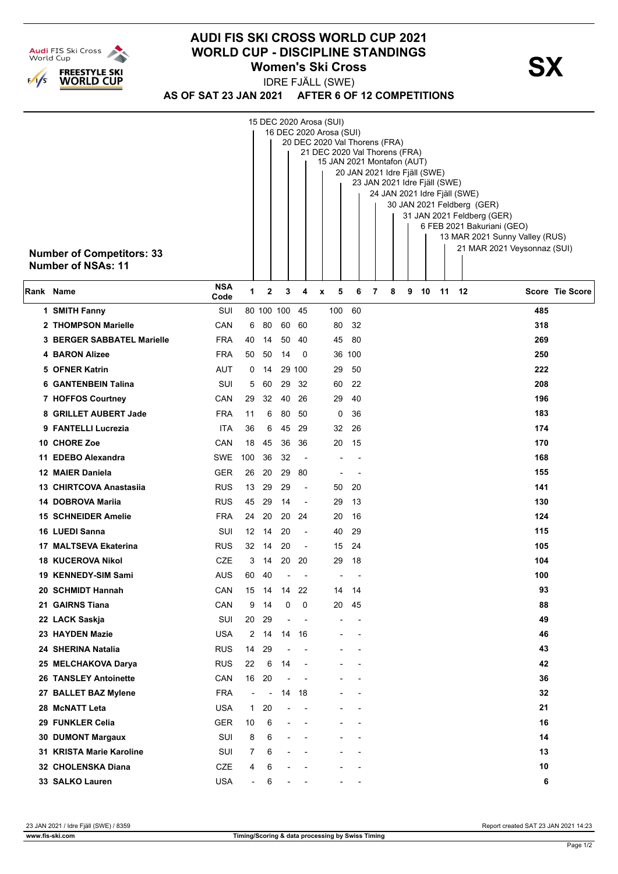

## **AUDI FIS SKI CROSS WORLD CUP 2021 WORLD CUP - DISCIPLINE STANDINGS<br>
Women's Ski Cross Women's Ski Cross**

IDRE FJÄLL (SWE)

**AS OF SAT 23 JAN 2021 AFTER 6 OF 12 COMPETITIONS**

| <b>Number of Competitors: 33</b> | 15 DEC 2020 Arosa (SUI)<br>16 DEC 2020 Arosa (SUI)<br>20 DEC 2020 Val Thorens (FRA)<br>21 DEC 2020 Val Thorens (FRA)<br>15 JAN 2021 Montafon (AUT)<br>20 JAN 2021 Idre Fjäll (SWE)<br>23 JAN 2021 Idre Fjäll (SWE)<br>24 JAN 2021 Idre Fjäll (SWE)<br>30 JAN 2021 Feldberg (GER)<br>31 JAN 2021 Feldberg (GER)<br>6 FEB 2021 Bakuriani (GEO)<br>13 MAR 2021 Sunny Valley (RUS)<br>21 MAR 2021 Veysonnaz (SUI) |                          |                |                          |                          |   |                          |                          |   |   |   |    |    |      |     |                 |
|----------------------------------|---------------------------------------------------------------------------------------------------------------------------------------------------------------------------------------------------------------------------------------------------------------------------------------------------------------------------------------------------------------------------------------------------------------|--------------------------|----------------|--------------------------|--------------------------|---|--------------------------|--------------------------|---|---|---|----|----|------|-----|-----------------|
| Number of NSAs: 11               |                                                                                                                                                                                                                                                                                                                                                                                                               |                          |                |                          |                          |   |                          |                          |   |   |   |    |    |      |     |                 |
| Rank Name                        | <b>NSA</b><br>Code                                                                                                                                                                                                                                                                                                                                                                                            | 1                        | $\mathbf{2}$   | 3                        | 4                        | X | 5                        | 6                        | 7 | 8 | 9 | 10 | 11 | - 12 |     | Score Tie Score |
| 1 SMITH Fanny                    | SUI                                                                                                                                                                                                                                                                                                                                                                                                           |                          |                | 80 100 100               | 45                       |   | 100                      | 60                       |   |   |   |    |    |      | 485 |                 |
| 2 THOMPSON Marielle              | CAN                                                                                                                                                                                                                                                                                                                                                                                                           | 6                        | 80             | 60                       | 60                       |   | 80                       | 32                       |   |   |   |    |    |      | 318 |                 |
| 3 BERGER SABBATEL Marielle       | <b>FRA</b>                                                                                                                                                                                                                                                                                                                                                                                                    | 40                       | 14             | 50                       | -40                      |   | 45                       | 80                       |   |   |   |    |    |      | 269 |                 |
| <b>4 BARON Alizee</b>            | <b>FRA</b>                                                                                                                                                                                                                                                                                                                                                                                                    | 50                       | 50             | 14                       | 0                        |   |                          | 36 100                   |   |   |   |    |    |      | 250 |                 |
| 5 OFNER Katrin                   | AUT                                                                                                                                                                                                                                                                                                                                                                                                           | 0                        | 14             |                          | 29 100                   |   | 29                       | 50                       |   |   |   |    |    |      | 222 |                 |
| <b>6 GANTENBEIN Talina</b>       | SUI                                                                                                                                                                                                                                                                                                                                                                                                           | 5                        | 60             | 29                       | 32                       |   | 60                       | 22                       |   |   |   |    |    |      | 208 |                 |
| 7 HOFFOS Courtney                | CAN                                                                                                                                                                                                                                                                                                                                                                                                           | 29                       | 32             | 40                       | 26                       |   | 29                       | 40                       |   |   |   |    |    |      | 196 |                 |
| 8 GRILLET AUBERT Jade            | <b>FRA</b>                                                                                                                                                                                                                                                                                                                                                                                                    | 11                       | 6              | 80                       | 50                       |   | 0                        | 36                       |   |   |   |    |    |      | 183 |                 |
| 9 FANTELLI Lucrezia              | ITA                                                                                                                                                                                                                                                                                                                                                                                                           | 36                       | 6              | 45                       | 29                       |   | 32                       | 26                       |   |   |   |    |    |      | 174 |                 |
| 10 CHORE Zoe                     | CAN                                                                                                                                                                                                                                                                                                                                                                                                           | 18                       | 45             | 36                       | 36                       |   | 20                       | 15                       |   |   |   |    |    |      | 170 |                 |
| 11 EDEBO Alexandra               | SWE                                                                                                                                                                                                                                                                                                                                                                                                           | 100                      | 36             | 32                       | $\blacksquare$           |   |                          |                          |   |   |   |    |    |      | 168 |                 |
| 12 MAIER Daniela                 | <b>GER</b>                                                                                                                                                                                                                                                                                                                                                                                                    | 26                       | 20             | 29                       | 80                       |   |                          | $\overline{\phantom{a}}$ |   |   |   |    |    |      | 155 |                 |
| 13 CHIRTCOVA Anastasiia          | <b>RUS</b>                                                                                                                                                                                                                                                                                                                                                                                                    | 13                       | 29             | 29                       | $\overline{a}$           |   | 50                       | 20                       |   |   |   |    |    |      | 141 |                 |
| 14 DOBROVA Marija                | <b>RUS</b>                                                                                                                                                                                                                                                                                                                                                                                                    | 45                       | 29             | 14                       | $\overline{\phantom{a}}$ |   | 29                       | 13                       |   |   |   |    |    |      | 130 |                 |
| <b>15 SCHNEIDER Amelie</b>       | <b>FRA</b>                                                                                                                                                                                                                                                                                                                                                                                                    | 24                       | 20             | 20                       | 24                       |   | 20                       | 16                       |   |   |   |    |    |      | 124 |                 |
| 16 LUEDI Sanna                   | SUI                                                                                                                                                                                                                                                                                                                                                                                                           | 12                       | 14             | 20                       | $\blacksquare$           |   | 40                       | 29                       |   |   |   |    |    |      | 115 |                 |
| 17 MALTSEVA Ekaterina            | <b>RUS</b>                                                                                                                                                                                                                                                                                                                                                                                                    | 32                       | 14             | 20                       | $\overline{\phantom{a}}$ |   | 15                       | 24                       |   |   |   |    |    |      | 105 |                 |
| <b>18 KUCEROVA Nikol</b>         | <b>CZE</b>                                                                                                                                                                                                                                                                                                                                                                                                    | 3                        | 14             | 20                       | 20                       |   | 29                       | 18                       |   |   |   |    |    |      | 104 |                 |
| 19 KENNEDY-SIM Sami              | AUS                                                                                                                                                                                                                                                                                                                                                                                                           | 60                       | 40             | $\blacksquare$           |                          |   | $\overline{\phantom{a}}$ |                          |   |   |   |    |    |      | 100 |                 |
| 20 SCHMIDT Hannah                | CAN                                                                                                                                                                                                                                                                                                                                                                                                           | 15                       | - 14           |                          | 14 22                    |   | 14                       | 14                       |   |   |   |    |    |      | 93  |                 |
| 21 GAIRNS Tiana                  | CAN                                                                                                                                                                                                                                                                                                                                                                                                           | 9                        | 14             | 0                        | $\mathbf 0$              |   | 20                       | 45                       |   |   |   |    |    |      | 88  |                 |
| 22 LACK Saskja                   | SUI                                                                                                                                                                                                                                                                                                                                                                                                           | 20                       | 29             | $\blacksquare$           | $\overline{\phantom{a}}$ |   |                          | $\overline{a}$           |   |   |   |    |    |      | 49  |                 |
| 23 HAYDEN Mazie                  | <b>USA</b>                                                                                                                                                                                                                                                                                                                                                                                                    | 2                        | 14             |                          | 14 16                    |   |                          |                          |   |   |   |    |    |      | 46  |                 |
| 24 SHERINA Natalia               | <b>RUS</b>                                                                                                                                                                                                                                                                                                                                                                                                    | 14                       | 29             | $\overline{a}$           |                          |   |                          |                          |   |   |   |    |    |      | 43  |                 |
| 25 MELCHAKOVA Darya              | <b>RUS</b>                                                                                                                                                                                                                                                                                                                                                                                                    | 22                       | 6              | 14                       | ÷,                       |   |                          |                          |   |   |   |    |    |      | 42  |                 |
| <b>26 TANSLEY Antoinette</b>     | CAN                                                                                                                                                                                                                                                                                                                                                                                                           | 16                       | 20             | $\overline{\phantom{a}}$ | $\overline{\phantom{a}}$ |   |                          |                          |   |   |   |    |    |      | 36  |                 |
| 27 BALLET BAZ Mylene             | <b>FRA</b>                                                                                                                                                                                                                                                                                                                                                                                                    | $\overline{\phantom{a}}$ | $\blacksquare$ |                          | 14 18                    |   |                          |                          |   |   |   |    |    |      | 32  |                 |
| 28 McNATT Leta                   | <b>USA</b>                                                                                                                                                                                                                                                                                                                                                                                                    | $\mathbf{1}$             | 20             |                          |                          |   |                          |                          |   |   |   |    |    |      | 21  |                 |
| 29 FUNKLER Celia                 | <b>GER</b>                                                                                                                                                                                                                                                                                                                                                                                                    | 10                       | 6              |                          |                          |   |                          |                          |   |   |   |    |    |      | 16  |                 |
| <b>30 DUMONT Margaux</b>         | SUI                                                                                                                                                                                                                                                                                                                                                                                                           | 8                        | 6              |                          |                          |   |                          |                          |   |   |   |    |    |      | 14  |                 |
| 31 KRISTA Marie Karoline         | SUI                                                                                                                                                                                                                                                                                                                                                                                                           | 7                        | 6              |                          |                          |   |                          |                          |   |   |   |    |    |      | 13  |                 |
| 32 CHOLENSKA Diana               | <b>CZE</b>                                                                                                                                                                                                                                                                                                                                                                                                    | 4                        | 6              |                          |                          |   |                          |                          |   |   |   |    |    |      | 10  |                 |
| 33 SALKO Lauren                  | <b>USA</b>                                                                                                                                                                                                                                                                                                                                                                                                    | $\overline{a}$           | 6              |                          |                          |   |                          |                          |   |   |   |    |    |      | 6   |                 |